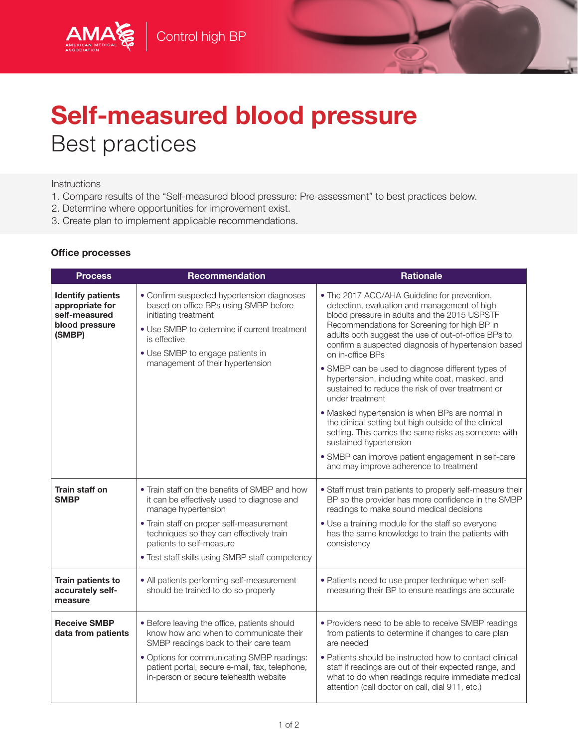

## Self-measured blood pressure Best practices

## **Instructions**

AMA

- 1. Compare results of the "Self-measured blood pressure: Pre-assessment" to best practices below.
- 2. Determine where opportunities for improvement exist.
- 3. Create plan to implement applicable recommendations.

## Office processes

| <b>Process</b>                                                                           | <b>Recommendation</b>                                                                                                                                                                                                                                                                     | <b>Rationale</b>                                                                                                                                                                                                                                                                                                                                                                                                                                                                                                                                                                                                                                                                                                                                                                                             |
|------------------------------------------------------------------------------------------|-------------------------------------------------------------------------------------------------------------------------------------------------------------------------------------------------------------------------------------------------------------------------------------------|--------------------------------------------------------------------------------------------------------------------------------------------------------------------------------------------------------------------------------------------------------------------------------------------------------------------------------------------------------------------------------------------------------------------------------------------------------------------------------------------------------------------------------------------------------------------------------------------------------------------------------------------------------------------------------------------------------------------------------------------------------------------------------------------------------------|
| <b>Identify patients</b><br>appropriate for<br>self-measured<br>blood pressure<br>(SMBP) | • Confirm suspected hypertension diagnoses<br>based on office BPs using SMBP before<br>initiating treatment<br>• Use SMBP to determine if current treatment<br>is effective<br>• Use SMBP to engage patients in<br>management of their hypertension                                       | • The 2017 ACC/AHA Guideline for prevention,<br>detection, evaluation and management of high<br>blood pressure in adults and the 2015 USPSTF<br>Recommendations for Screening for high BP in<br>adults both suggest the use of out-of-office BPs to<br>confirm a suspected diagnosis of hypertension based<br>on in-office BPs<br>• SMBP can be used to diagnose different types of<br>hypertension, including white coat, masked, and<br>sustained to reduce the risk of over treatment or<br>under treatment<br>• Masked hypertension is when BPs are normal in<br>the clinical setting but high outside of the clinical<br>setting. This carries the same risks as someone with<br>sustained hypertension<br>• SMBP can improve patient engagement in self-care<br>and may improve adherence to treatment |
| Train staff on<br><b>SMBP</b>                                                            | • Train staff on the benefits of SMBP and how<br>it can be effectively used to diagnose and<br>manage hypertension<br>• Train staff on proper self-measurement<br>techniques so they can effectively train<br>patients to self-measure<br>• Test staff skills using SMBP staff competency | • Staff must train patients to properly self-measure their<br>BP so the provider has more confidence in the SMBP<br>readings to make sound medical decisions<br>• Use a training module for the staff so everyone<br>has the same knowledge to train the patients with<br>consistency                                                                                                                                                                                                                                                                                                                                                                                                                                                                                                                        |
| Train patients to<br>accurately self-<br>measure                                         | • All patients performing self-measurement<br>should be trained to do so properly                                                                                                                                                                                                         | • Patients need to use proper technique when self-<br>measuring their BP to ensure readings are accurate                                                                                                                                                                                                                                                                                                                                                                                                                                                                                                                                                                                                                                                                                                     |
| <b>Receive SMBP</b><br>data from patients                                                | • Before leaving the office, patients should<br>know how and when to communicate their<br>SMBP readings back to their care team<br>· Options for communicating SMBP readings:<br>patient portal, secure e-mail, fax, telephone,<br>in-person or secure telehealth website                 | • Providers need to be able to receive SMBP readings<br>from patients to determine if changes to care plan<br>are needed<br>• Patients should be instructed how to contact clinical<br>staff if readings are out of their expected range, and<br>what to do when readings require immediate medical<br>attention (call doctor on call, dial 911, etc.)                                                                                                                                                                                                                                                                                                                                                                                                                                                       |